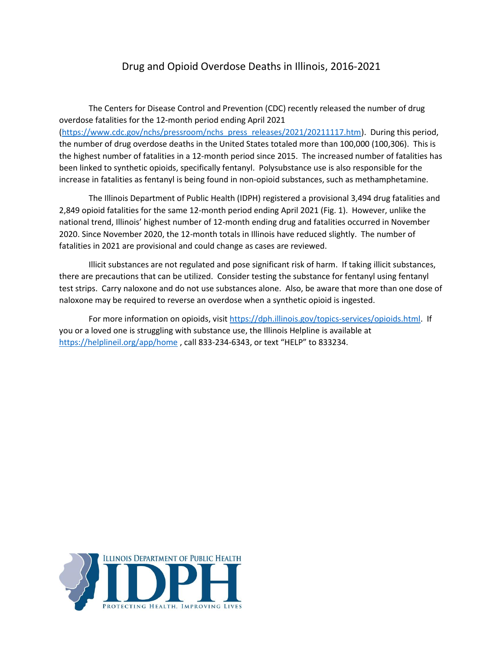## Drug and Opioid Overdose Deaths in Illinois, 2016-2021

The Centers for Disease Control and Prevention (CDC) recently released the number of drug overdose fatalities for the 12-month period ending April 2021 [\(https://www.cdc.gov/nchs/pressroom/nchs\\_press\\_releases/2021/20211117.htm\)](https://www.cdc.gov/nchs/pressroom/nchs_press_releases/2021/20211117.htm). During this period, the number of drug overdose deaths in the United States totaled more than 100,000 (100,306). This is the highest number of fatalities in a 12-month period since 2015. The increased number of fatalities has been linked to synthetic opioids, specifically fentanyl. Polysubstance use is also responsible for the increase in fatalities as fentanyl is being found in non-opioid substances, such as methamphetamine.

The Illinois Department of Public Health (IDPH) registered a provisional 3,494 drug fatalities and 2,849 opioid fatalities for the same 12-month period ending April 2021 (Fig. 1). However, unlike the national trend, Illinois' highest number of 12-month ending drug and fatalities occurred in November 2020. Since November 2020, the 12-month totals in Illinois have reduced slightly. The number of fatalities in 2021 are provisional and could change as cases are reviewed.

Illicit substances are not regulated and pose significant risk of harm. If taking illicit substances, there are precautions that can be utilized. Consider testing the substance for fentanyl using fentanyl test strips. Carry naloxone and do not use substances alone. Also, be aware that more than one dose of naloxone may be required to reverse an overdose when a synthetic opioid is ingested.

For more information on opioids, visi[t https://dph.illinois.gov/topics-services/opioids.html.](https://dph.illinois.gov/topics-services/opioids.html) If you or a loved one is struggling with substance use, the Illinois Helpline is available at <https://helplineil.org/app/home> , call 833-234-6343, or text "HELP" to 833234.